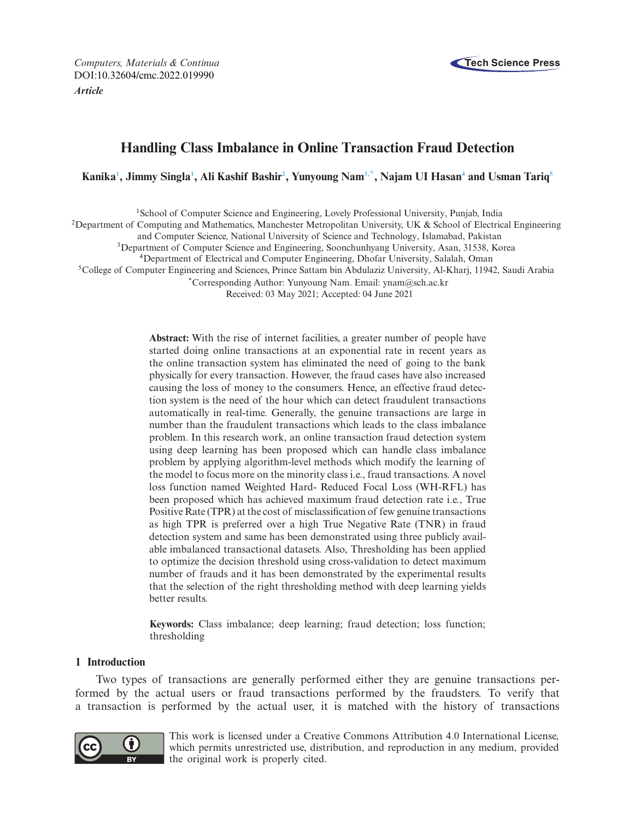*Computers, Materials & Continua* **Tech Science Press** DOI[:10.32604/cmc.2022.019990](http://dx.doi.org/10.32604/cmc.2022.019990) *Article*



# **Handling Class Imbalance in Online Transaction Fraud Detection**

**Kanik[a1](#page-0-0) , Jimmy Singl[a1](#page-0-0) , Ali Kashif Bashi[r2](#page-0-1) , Yunyoung Na[m3](#page-0-2)[,\\*,](#page-0-3) Najam UI Hasa[n4](#page-0-4) and Usman Tari[q5](#page-0-5)**

<span id="page-0-5"></span><span id="page-0-2"></span><span id="page-0-1"></span><span id="page-0-0"></span>1School of Computer Science and Engineering, Lovely Professional University, Punjab, India <sup>2</sup>Department of Computing and Mathematics, Manchester Metropolitan University, UK & School of Electrical Engineering and Computer Science, National University of Science and Technology, Islamabad, Pakistan 3Department of Computer Science and Engineering, Soonchunhyang University, Asan, 31538, Korea 4Department of Electrical and Computer Engineering, Dhofar University, Salalah, Oman 5College of Computer Engineering and Sciences, Prince Sattam bin Abdulaziz University, Al-Kharj, 11942, Saudi Arabia \*Corresponding Author: Yunyoung Nam. Email: ynam@sch.ac.kr

<span id="page-0-3"></span>Received: 03 May 2021; Accepted: 04 June 2021

<span id="page-0-4"></span>**Abstract:** With the rise of internet facilities, a greater number of people have started doing online transactions at an exponential rate in recent years as the online transaction system has eliminated the need of going to the bank physically for every transaction. However, the fraud cases have also increased causing the loss of money to the consumers. Hence, an effective fraud detection system is the need of the hour which can detect fraudulent transactions automatically in real-time. Generally, the genuine transactions are large in number than the fraudulent transactions which leads to the class imbalance problem. In this research work, an online transaction fraud detection system using deep learning has been proposed which can handle class imbalance problem by applying algorithm-level methods which modify the learning of the model to focus more on the minority class i.e., fraud transactions. A novel loss function named Weighted Hard- Reduced Focal Loss (WH-RFL) has been proposed which has achieved maximum fraud detection rate i.e., True Positive Rate (TPR) at the cost of misclassification of few genuine transactions as high TPR is preferred over a high True Negative Rate (TNR) in fraud detection system and same has been demonstrated using three publicly available imbalanced transactional datasets. Also, Thresholding has been applied to optimize the decision threshold using cross-validation to detect maximum number of frauds and it has been demonstrated by the experimental results that the selection of the right thresholding method with deep learning yields better results.

**Keywords:** Class imbalance; deep learning; fraud detection; loss function; thresholding

# **1 Introduction**

Two types of transactions are generally performed either they are genuine transactions performed by the actual users or fraud transactions performed by the fraudsters. To verify that a transaction is performed by the actual user, it is matched with the history of transactions



This work is licensed under a Creative Commons Attribution 4.0 International License, which permits unrestricted use, distribution, and reproduction in any medium, provided the original work is properly cited.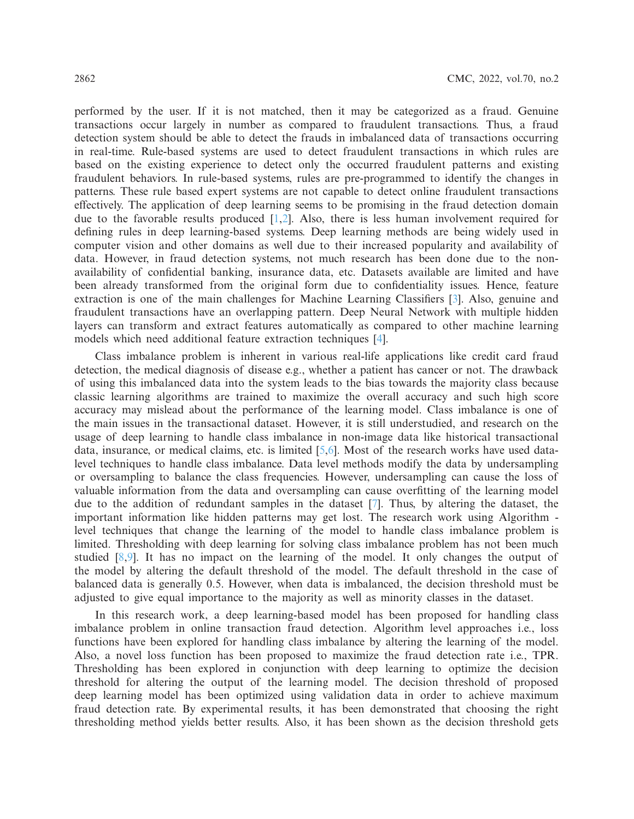performed by the user. If it is not matched, then it may be categorized as a fraud. Genuine transactions occur largely in number as compared to fraudulent transactions. Thus, a fraud detection system should be able to detect the frauds in imbalanced data of transactions occurring in real-time. Rule-based systems are used to detect fraudulent transactions in which rules are based on the existing experience to detect only the occurred fraudulent patterns and existing fraudulent behaviors. In rule-based systems, rules are pre-programmed to identify the changes in patterns. These rule based expert systems are not capable to detect online fraudulent transactions effectively. The application of deep learning seems to be promising in the fraud detection domain due to the favorable results produced [\[1](#page-14-0)[,2](#page-14-1)]. Also, there is less human involvement required for defining rules in deep learning-based systems. Deep learning methods are being widely used in computer vision and other domains as well due to their increased popularity and availability of data. However, in fraud detection systems, not much research has been done due to the nonavailability of confidential banking, insurance data, etc. Datasets available are limited and have been already transformed from the original form due to confidentiality issues. Hence, feature extraction is one of the main challenges for Machine Learning Classifiers [\[3](#page-15-0)]. Also, genuine and fraudulent transactions have an overlapping pattern. Deep Neural Network with multiple hidden layers can transform and extract features automatically as compared to other machine learning models which need additional feature extraction techniques [\[4](#page-15-1)].

Class imbalance problem is inherent in various real-life applications like credit card fraud detection, the medical diagnosis of disease e.g., whether a patient has cancer or not. The drawback of using this imbalanced data into the system leads to the bias towards the majority class because classic learning algorithms are trained to maximize the overall accuracy and such high score accuracy may mislead about the performance of the learning model. Class imbalance is one of the main issues in the transactional dataset. However, it is still understudied, and research on the usage of deep learning to handle class imbalance in non-image data like historical transactional data, insurance, or medical claims, etc. is limited [\[5](#page-15-2)[,6](#page-15-3)]. Most of the research works have used datalevel techniques to handle class imbalance. Data level methods modify the data by undersampling or oversampling to balance the class frequencies. However, undersampling can cause the loss of valuable information from the data and oversampling can cause overfitting of the learning model due to the addition of redundant samples in the dataset [\[7\]](#page-15-4). Thus, by altering the dataset, the important information like hidden patterns may get lost. The research work using Algorithm level techniques that change the learning of the model to handle class imbalance problem is limited. Thresholding with deep learning for solving class imbalance problem has not been much studied  $[8,9]$  $[8,9]$ . It has no impact on the learning of the model. It only changes the output of the model by altering the default threshold of the model. The default threshold in the case of balanced data is generally 0.5. However, when data is imbalanced, the decision threshold must be adjusted to give equal importance to the majority as well as minority classes in the dataset.

In this research work, a deep learning-based model has been proposed for handling class imbalance problem in online transaction fraud detection. Algorithm level approaches i.e., loss functions have been explored for handling class imbalance by altering the learning of the model. Also, a novel loss function has been proposed to maximize the fraud detection rate i.e., TPR. Thresholding has been explored in conjunction with deep learning to optimize the decision threshold for altering the output of the learning model. The decision threshold of proposed deep learning model has been optimized using validation data in order to achieve maximum fraud detection rate. By experimental results, it has been demonstrated that choosing the right thresholding method yields better results. Also, it has been shown as the decision threshold gets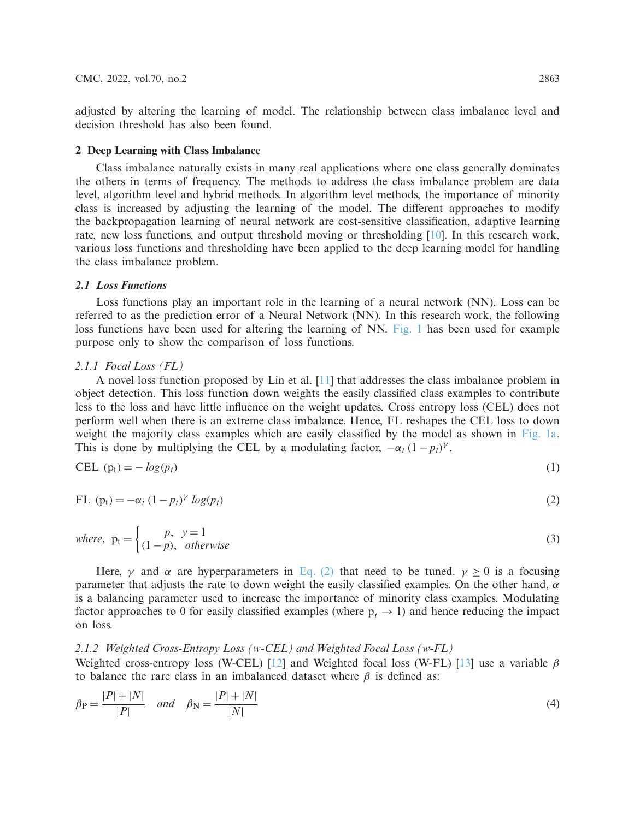adjusted by altering the learning of model. The relationship between class imbalance level and decision threshold has also been found.

## **2 Deep Learning with Class Imbalance**

Class imbalance naturally exists in many real applications where one class generally dominates the others in terms of frequency. The methods to address the class imbalance problem are data level, algorithm level and hybrid methods. In algorithm level methods, the importance of minority class is increased by adjusting the learning of the model. The different approaches to modify the backpropagation learning of neural network are cost-sensitive classification, adaptive learning rate, new loss functions, and output threshold moving or thresholding [\[10](#page-15-7)]. In this research work, various loss functions and thresholding have been applied to the deep learning model for handling the class imbalance problem.

#### *2.1 Loss Functions*

Loss functions play an important role in the learning of a neural network (NN). Loss can be referred to as the prediction error of a Neural Network (NN). In this research work, the following loss functions have been used for altering the learning of NN. [Fig. 1](#page-3-0) has been used for example purpose only to show the comparison of loss functions.

# *2.1.1 Focal Loss (FL)*

A novel loss function proposed by Lin et al. [\[11](#page-15-8)] that addresses the class imbalance problem in object detection. This loss function down weights the easily classified class examples to contribute less to the loss and have little influence on the weight updates. Cross entropy loss (CEL) does not perform well when there is an extreme class imbalance. Hence, FL reshapes the CEL loss to down weight the majority class examples which are easily classified by the model as shown in [Fig. 1a.](#page-3-0) This is done by multiplying the CEL by a modulating factor,  $-\alpha_t (1 - p_t)^\gamma$ .

<span id="page-2-1"></span>
$$
CEL (pt) = -log(pt)
$$
\n(1)

<span id="page-2-0"></span>FL 
$$
(p_t) = -\alpha_t (1 - p_t)^\gamma \log(p_t)
$$
 (2)

where, 
$$
p_t = \begin{cases} p, & y = 1 \\ (1-p), & otherwise \end{cases}
$$
 (3)

Here,  $\gamma$  and  $\alpha$  are hyperparameters in [Eq. \(2\)](#page-2-0) that need to be tuned.  $\gamma \ge 0$  is a focusing parameter that adjusts the rate to down weight the easily classified examples. On the other hand,  $\alpha$ is a balancing parameter used to increase the importance of minority class examples. Modulating factor approaches to 0 for easily classified examples (where  $p_t \rightarrow 1$ ) and hence reducing the impact on loss.

# *2.1.2 Weighted Cross-Entropy Loss (w-CEL) and Weighted Focal Loss (w-FL)*

Weighted cross-entropy loss (W-CEL) [\[12\]](#page-15-9) and Weighted focal loss (W-FL) [\[13\]](#page-15-10) use a variable  $\beta$ to balance the rare class in an imbalanced dataset where  $\beta$  is defined as:

$$
\beta_{\rm P} = \frac{|P| + |N|}{|P|} \quad \text{and} \quad \beta_{\rm N} = \frac{|P| + |N|}{|N|} \tag{4}
$$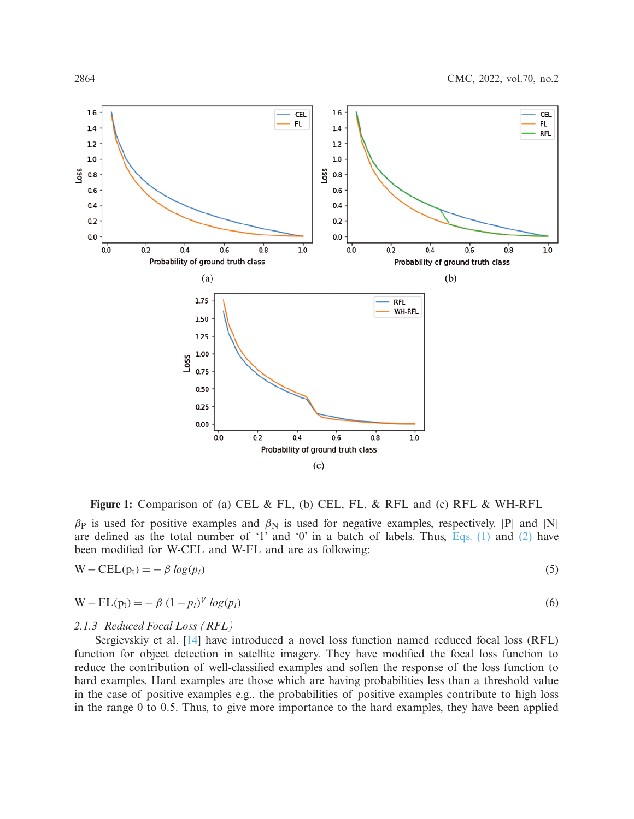

<span id="page-3-0"></span>**Figure 1:** Comparison of (a) CEL & FL, (b) CEL, FL, & RFL and (c) RFL & WH-RFL

 $β$ <sub>P</sub> is used for positive examples and  $β$ <sub>N</sub> is used for negative examples, respectively. |P| and |N| are defined as the total number of '1' and '0' in a batch of labels. Thus, [Eqs. \(1\)](#page-2-1) and [\(2\)](#page-2-0) have been modified for W-CEL and W-FL and are as following:

$$
W - CEL(p_t) = -\beta \log(p_t) \tag{5}
$$

$$
W - FL(pt) = -\beta (1 - pt)y log(pt)
$$
\n(6)

#### *2.1.3 Reduced Focal Loss (RFL)*

Sergievskiy et al. [\[14](#page-15-11)] have introduced a novel loss function named reduced focal loss (RFL) function for object detection in satellite imagery. They have modified the focal loss function to reduce the contribution of well-classified examples and soften the response of the loss function to hard examples. Hard examples are those which are having probabilities less than a threshold value in the case of positive examples e.g., the probabilities of positive examples contribute to high loss in the range 0 to 0.5. Thus, to give more importance to the hard examples, they have been applied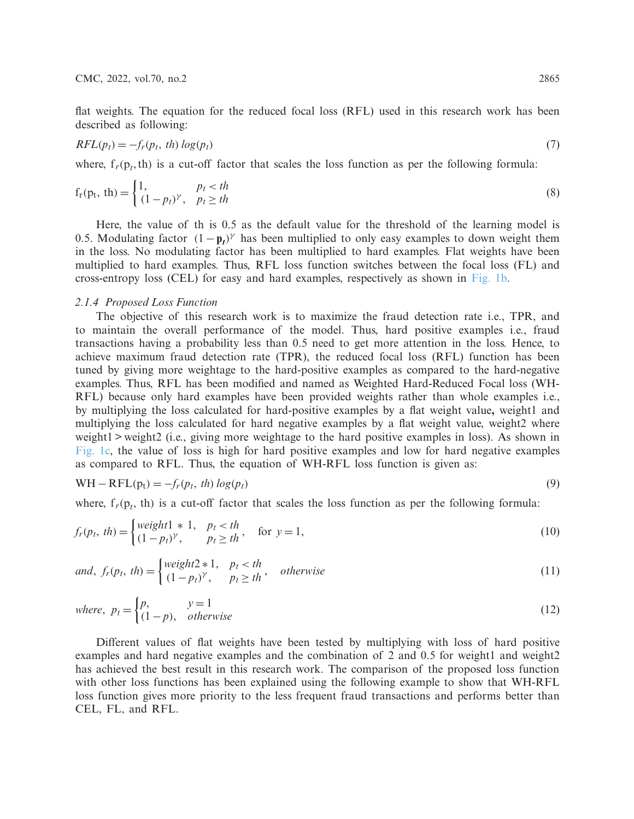flat weights. The equation for the reduced focal loss (RFL) used in this research work has been described as following:

$$
RFL(p_t) = -f_r(p_t, th) \log(p_t) \tag{7}
$$

where,  $f_r(p_t, th)$  is a cut-off factor that scales the loss function as per the following formula:

$$
f_r(p_t, th) = \begin{cases} 1, & p_t < th \\ (1 - p_t)^\gamma, & p_t \ge th \end{cases}
$$
 (8)

Here, the value of th is 0.5 as the default value for the threshold of the learning model is 0.5. Modulating factor  $(1 - \mathbf{p}_t)^\gamma$  has been multiplied to only easy examples to down weight them in the loss. No modulating factor has been multiplied to hard examples. Flat weights have been multiplied to hard examples. Thus, RFL loss function switches between the focal loss (FL) and cross-entropy loss (CEL) for easy and hard examples, respectively as shown in [Fig. 1b.](#page-3-0)

### *2.1.4 Proposed Loss Function*

The objective of this research work is to maximize the fraud detection rate i.e., TPR, and to maintain the overall performance of the model. Thus, hard positive examples i.e., fraud transactions having a probability less than 0.5 need to get more attention in the loss. Hence, to achieve maximum fraud detection rate (TPR), the reduced focal loss (RFL) function has been tuned by giving more weightage to the hard-positive examples as compared to the hard-negative examples. Thus, RFL has been modified and named as Weighted Hard-Reduced Focal loss (WH-RFL) because only hard examples have been provided weights rather than whole examples i.e., by multiplying the loss calculated for hard-positive examples by a flat weight value**,** weight1 and multiplying the loss calculated for hard negative examples by a flat weight value, weight2 where weight1 > weight2 (i.e., giving more weightage to the hard positive examples in loss). As shown in [Fig. 1c,](#page-3-0) the value of loss is high for hard positive examples and low for hard negative examples as compared to RFL. Thus, the equation of WH-RFL loss function is given as:

$$
WH - RFL(p_t) = -f_r(p_t, th) \log(p_t)
$$
\n(9)

where,  $f_r(p_t, th)$  is a cut-off factor that scales the loss function as per the following formula:

$$
f_r(p_t, th) = \begin{cases} weight1 * 1, & p_t < th \\ (1 - p_t)^\gamma, & p_t \ge th \end{cases}, \quad \text{for } y = 1,
$$
 (10)

and, 
$$
f_r(p_t, th) = \begin{cases} weight2 * 1, & p_t < th \\ (1 - p_t)^\gamma, & p_t \ge th \end{cases}
$$
, otherwise (11)

where, 
$$
p_t = \begin{cases} p, & y = 1 \\ (1 - p), & otherwise \end{cases}
$$
 (12)

Different values of flat weights have been tested by multiplying with loss of hard positive examples and hard negative examples and the combination of 2 and 0.5 for weight1 and weight2 has achieved the best result in this research work. The comparison of the proposed loss function with other loss functions has been explained using the following example to show that WH-RFL loss function gives more priority to the less frequent fraud transactions and performs better than CEL, FL, and RFL.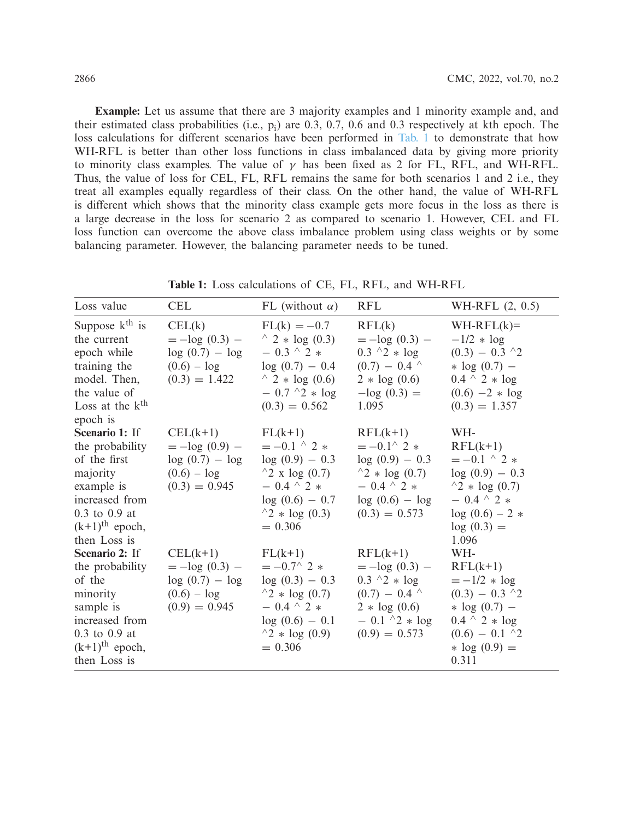**Example:** Let us assume that there are 3 majority examples and 1 minority example and, and their estimated class probabilities (i.e.,  $p_i$ ) are 0.3, 0.7, 0.6 and 0.3 respectively at kth epoch. The loss calculations for different scenarios have been performed in [Tab. 1](#page-5-0) to demonstrate that how WH-RFL is better than other loss functions in class imbalanced data by giving more priority to minority class examples. The value of  $\gamma$  has been fixed as 2 for FL, RFL, and WH-RFL. Thus, the value of loss for CEL, FL, RFL remains the same for both scenarios 1 and 2 i.e., they treat all examples equally regardless of their class. On the other hand, the value of WH-RFL is different which shows that the minority class example gets more focus in the loss as there is a large decrease in the loss for scenario 2 as compared to scenario 1. However, CEL and FL loss function can overcome the above class imbalance problem using class weights or by some balancing parameter. However, the balancing parameter needs to be tuned.

<span id="page-5-0"></span>

| Loss value                                                                                                                                                     | <b>CEL</b>                                                                             | FL (without $\alpha$ )                                                                                                                                           | <b>RFL</b>                                                                                                                                       | WH-RFL $(2, 0.5)$                                                                                                                                         |
|----------------------------------------------------------------------------------------------------------------------------------------------------------------|----------------------------------------------------------------------------------------|------------------------------------------------------------------------------------------------------------------------------------------------------------------|--------------------------------------------------------------------------------------------------------------------------------------------------|-----------------------------------------------------------------------------------------------------------------------------------------------------------|
| Suppose $kth$ is<br>the current<br>epoch while<br>training the<br>model. Then,<br>the value of<br>Loss at the $kth$<br>epoch is                                | CELL(k)<br>$=-\log(0.3)$ –<br>$log(0.7) - log$<br>$(0.6) - log$<br>$(0.3) = 1.422$     | $FL(k) = -0.7$<br>$^{\wedge}$ 2 $*$ log (0.3)<br>$-0.3$ ^ 2 $*$<br>$log(0.7) - 0.4$<br>$^{\wedge}$ 2 * log (0.6)<br>$-0.7 \ ^2 * \log$<br>$(0.3) = 0.562$        | RFL(k)<br>$=-\log(0.3)$ –<br>$0.3 \ ^{\wedge}2 * \log$<br>$(0.7) - 0.4$ ^<br>$2 * log(0.6)$<br>$-\log(0.3) =$<br>1.095                           | $WH-RFL(k)=$<br>$-1/2 * log$<br>$(0.3) - 0.3$ ^2<br>* $log(0.7)$ –<br>$0.4 \ ^{\wedge} 2 * \log$<br>$(0.6)$ -2 $*$ log<br>$(0.3) = 1.357$                 |
| Scenario 1: If<br>the probability<br>of the first<br>majority<br>example is<br>increased from<br>0.3 to 0.9 at<br>$(k+1)$ <sup>th</sup> epoch,<br>then Loss is | $CEL(k+1)$<br>$=-\log(0.9)$ –<br>$log(0.7) - log$<br>$(0.6) - log$<br>$(0.3) = 0.945$  | $FL(k+1)$<br>$=-0.1$ ^ 2 $*$<br>$log(0.9) - 0.3$<br>$^{\wedge}2$ x log (0.7)<br>$-0.4$ ^ 2 $*$<br>$log(0.6) - 0.7$<br>$^{\wedge}2 * \log(0.3)$<br>$= 0.306$      | $RFL(k+1)$<br>$=-0.1^{\wedge} 2 *$<br>$log(0.9) - 0.3$<br>$^{4}2 * log(0.7)$<br>$-0.4$ ^ 2 $*$<br>$log(0.6) - log$<br>$(0.3) = 0.573$            | WH-<br>$RFL(k+1)$<br>$=-0.1 \tbinom{0}{2}$<br>$log(0.9) - 0.3$<br>$^{\wedge}2 * \log(0.7)$<br>$-0.4$ ^ 2 $*$<br>$log(0.6) - 2$ *<br>$log(0.3) =$<br>1.096 |
| Scenario 2: If<br>the probability<br>of the<br>minority<br>sample is<br>increased from<br>0.3 to 0.9 at<br>$(k+1)$ <sup>th</sup> epoch,<br>then Loss is        | $CELL(k+1)$<br>$=-\log(0.3)$ –<br>$log(0.7) - log$<br>$(0.6) - log$<br>$(0.9) = 0.945$ | $FL(k+1)$<br>$=-0.7^{\wedge} 2 *$<br>$log(0.3) - 0.3$<br>$^{\wedge}2 * \log(0.7)$<br>$-0.4$ ^ 2 $*$<br>$log(0.6) - 0.1$<br>$^{\wedge}2 * \log(0.9)$<br>$= 0.306$ | $RFL(k+1)$<br>$=-\log(0.3)$ –<br>$0.3 \ ^{\wedge}2 * \log$<br>$(0.7) - 0.4$ ^<br>$2 * log(0.6)$<br>$-0.1 \ ^{\wedge}2 * \log$<br>$(0.9) = 0.573$ | WH-<br>$RFL(k+1)$<br>$=-1/2 * log$<br>$(0.3) - 0.3$ ^2<br>* $log(0.7)$ –<br>$0.4 \ ^{\wedge} 2 * \log$<br>$(0.6) - 0.1$ ^2<br>* $log(0.9) =$<br>0.311     |

**Table 1:** Loss calculations of CE, FL, RFL, and WH-RFL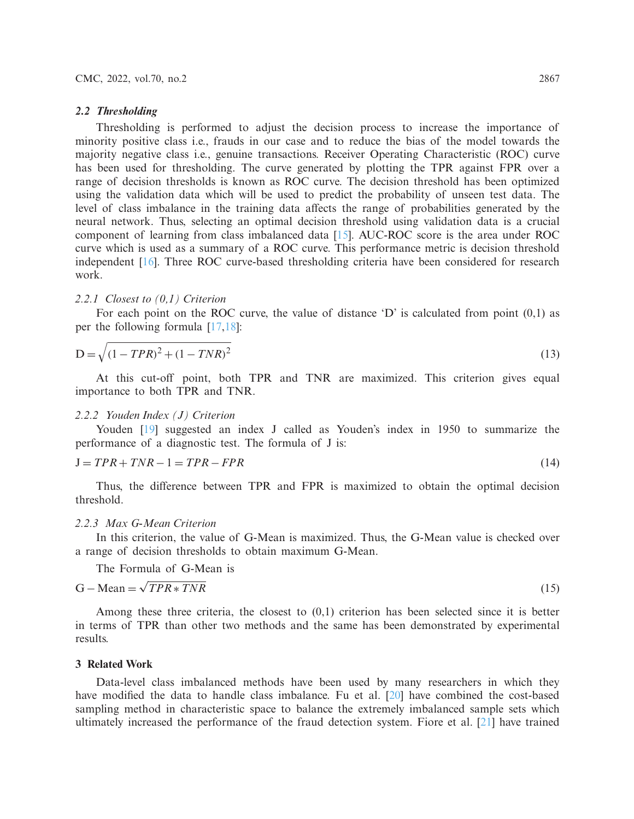#### *2.2 Thresholding*

Thresholding is performed to adjust the decision process to increase the importance of minority positive class i.e., frauds in our case and to reduce the bias of the model towards the majority negative class i.e., genuine transactions. Receiver Operating Characteristic (ROC) curve has been used for thresholding. The curve generated by plotting the TPR against FPR over a range of decision thresholds is known as ROC curve. The decision threshold has been optimized using the validation data which will be used to predict the probability of unseen test data. The level of class imbalance in the training data affects the range of probabilities generated by the neural network. Thus, selecting an optimal decision threshold using validation data is a crucial component of learning from class imbalanced data [\[15](#page-15-12)]. AUC-ROC score is the area under ROC curve which is used as a summary of a ROC curve. This performance metric is decision threshold independent [\[16\]](#page-15-13). Three ROC curve-based thresholding criteria have been considered for research work.

### *2.2.1 Closest to (0,1) Criterion*

<span id="page-6-0"></span>For each point on the ROC curve, the value of distance  $D'$  is calculated from point  $(0,1)$  as per the following formula [\[17](#page-15-14)[,18](#page-15-15)]:

$$
D = \sqrt{(1 - TPR)^2 + (1 - TNR)^2}
$$
\n(13)

At this cut-off point, both TPR and TNR are maximized. This criterion gives equal importance to both TPR and TNR.

### *2.2.2 Youden Index (J) Criterion*

<span id="page-6-1"></span>Youden [\[19\]](#page-15-16) suggested an index J called as Youden's index in 1950 to summarize the performance of a diagnostic test. The formula of J is:

$$
J = TPR + TNR - 1 = TPR - FPR \tag{14}
$$

Thus, the difference between TPR and FPR is maximized to obtain the optimal decision threshold.

# *2.2.3 Max G-Mean Criterion*

In this criterion, the value of G-Mean is maximized. Thus, the G-Mean value is checked over a range of decision thresholds to obtain maximum G-Mean.

<span id="page-6-2"></span>The Formula of G-Mean is

$$
G - Mean = \sqrt{TPR * TNR}
$$
\n(15)

Among these three criteria, the closest to (0,1) criterion has been selected since it is better in terms of TPR than other two methods and the same has been demonstrated by experimental results.

# **3 Related Work**

Data-level class imbalanced methods have been used by many researchers in which they have modified the data to handle class imbalance. Fu et al. [\[20\]](#page-15-17) have combined the cost-based sampling method in characteristic space to balance the extremely imbalanced sample sets which ultimately increased the performance of the fraud detection system. Fiore et al. [\[21](#page-15-18)] have trained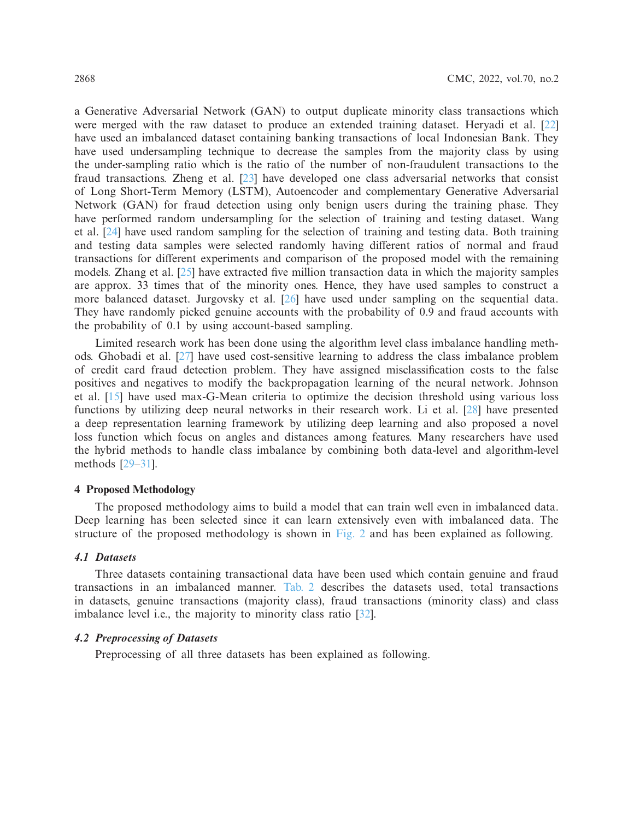a Generative Adversarial Network (GAN) to output duplicate minority class transactions which were merged with the raw dataset to produce an extended training dataset. Heryadi et al. [\[22\]](#page-15-19) have used an imbalanced dataset containing banking transactions of local Indonesian Bank. They have used undersampling technique to decrease the samples from the majority class by using the under-sampling ratio which is the ratio of the number of non-fraudulent transactions to the fraud transactions. Zheng et al. [\[23\]](#page-16-0) have developed one class adversarial networks that consist of Long Short-Term Memory (LSTM), Autoencoder and complementary Generative Adversarial Network (GAN) for fraud detection using only benign users during the training phase. They have performed random undersampling for the selection of training and testing dataset. Wang et al. [\[24\]](#page-16-1) have used random sampling for the selection of training and testing data. Both training and testing data samples were selected randomly having different ratios of normal and fraud transactions for different experiments and comparison of the proposed model with the remaining models. Zhang et al. [\[25](#page-16-2)] have extracted five million transaction data in which the majority samples are approx. 33 times that of the minority ones. Hence, they have used samples to construct a more balanced dataset. Jurgovsky et al. [\[26\]](#page-16-3) have used under sampling on the sequential data. They have randomly picked genuine accounts with the probability of 0.9 and fraud accounts with the probability of 0.1 by using account-based sampling.

Limited research work has been done using the algorithm level class imbalance handling methods. Ghobadi et al. [\[27\]](#page-16-4) have used cost-sensitive learning to address the class imbalance problem of credit card fraud detection problem. They have assigned misclassification costs to the false positives and negatives to modify the backpropagation learning of the neural network. Johnson et al. [\[15\]](#page-15-12) have used max-G-Mean criteria to optimize the decision threshold using various loss functions by utilizing deep neural networks in their research work. Li et al. [\[28\]](#page-16-5) have presented a deep representation learning framework by utilizing deep learning and also proposed a novel loss function which focus on angles and distances among features. Many researchers have used the hybrid methods to handle class imbalance by combining both data-level and algorithm-level methods [\[29](#page-16-6)[–31\]](#page-16-7).

### **4 Proposed Methodology**

The proposed methodology aims to build a model that can train well even in imbalanced data. Deep learning has been selected since it can learn extensively even with imbalanced data. The structure of the proposed methodology is shown in [Fig. 2](#page-8-0) and has been explained as following.

### *4.1 Datasets*

Three datasets containing transactional data have been used which contain genuine and fraud transactions in an imbalanced manner. [Tab. 2](#page-8-1) describes the datasets used, total transactions in datasets, genuine transactions (majority class), fraud transactions (minority class) and class imbalance level i.e., the majority to minority class ratio [\[32\]](#page-16-8).

# *4.2 Preprocessing of Datasets*

Preprocessing of all three datasets has been explained as following.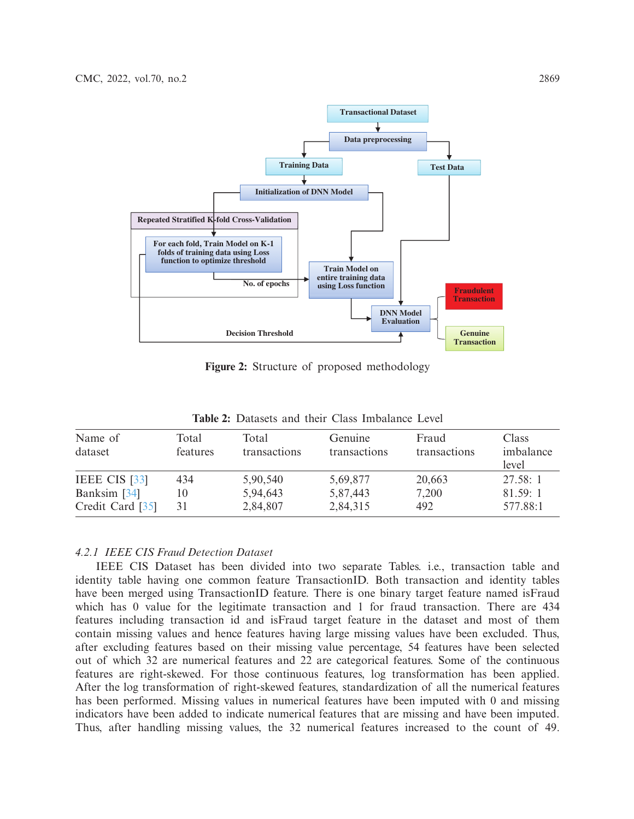

<span id="page-8-0"></span>**Figure 2:** Structure of proposed methodology

<span id="page-8-1"></span>

| Name of<br>dataset               | Total<br>features | Total<br>transactions | Genuine<br>transactions | Fraud<br>transactions | <b>Class</b><br>imbalance<br>level |
|----------------------------------|-------------------|-----------------------|-------------------------|-----------------------|------------------------------------|
| <b>IEEE CIS [33]</b>             | 434               | 5,90,540              | 5,69,877                | 20,663                | 27.58:1                            |
| Banksim [34]<br>Credit Card [35] | 10<br>31          | 5,94,643<br>2,84,807  | 5,87,443<br>2,84,315    | 7,200<br>492          | 81.59:1<br>577.88:1                |

**Table 2:** Datasets and their Class Imbalance Level

# *4.2.1 IEEE CIS Fraud Detection Dataset*

IEEE CIS Dataset has been divided into two separate Tables. i.e., transaction table and identity table having one common feature TransactionID. Both transaction and identity tables have been merged using TransactionID feature. There is one binary target feature named isFraud which has 0 value for the legitimate transaction and 1 for fraud transaction. There are 434 features including transaction id and isFraud target feature in the dataset and most of them contain missing values and hence features having large missing values have been excluded. Thus, after excluding features based on their missing value percentage, 54 features have been selected out of which 32 are numerical features and 22 are categorical features. Some of the continuous features are right-skewed. For those continuous features, log transformation has been applied. After the log transformation of right-skewed features, standardization of all the numerical features has been performed. Missing values in numerical features have been imputed with 0 and missing indicators have been added to indicate numerical features that are missing and have been imputed. Thus, after handling missing values, the 32 numerical features increased to the count of 49.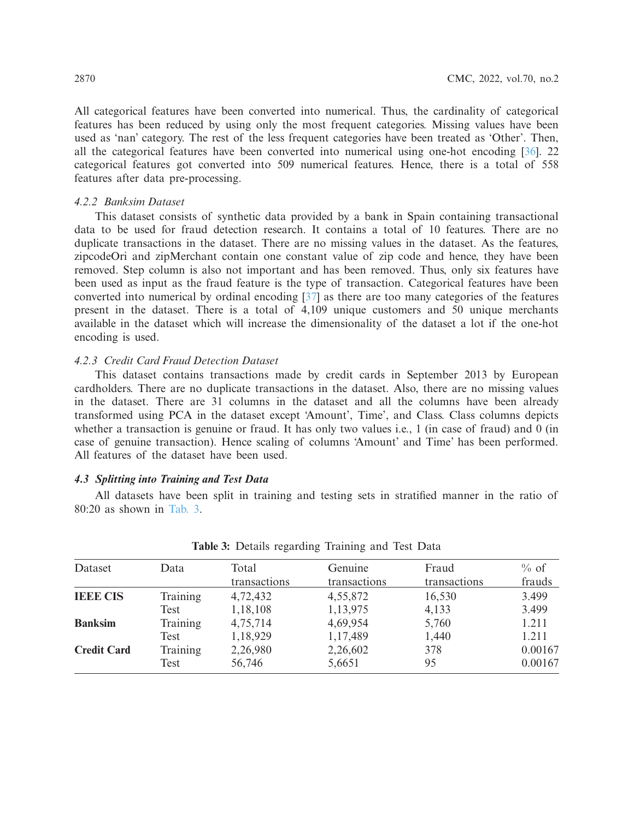All categorical features have been converted into numerical. Thus, the cardinality of categorical features has been reduced by using only the most frequent categories. Missing values have been used as 'nan' category. The rest of the less frequent categories have been treated as 'Other'. Then, all the categorical features have been converted into numerical using one-hot encoding [\[36\]](#page-16-12). 22 categorical features got converted into 509 numerical features. Hence, there is a total of 558 features after data pre-processing.

# *4.2.2 Banksim Dataset*

This dataset consists of synthetic data provided by a bank in Spain containing transactional data to be used for fraud detection research. It contains a total of 10 features. There are no duplicate transactions in the dataset. There are no missing values in the dataset. As the features, zipcodeOri and zipMerchant contain one constant value of zip code and hence, they have been removed. Step column is also not important and has been removed. Thus, only six features have been used as input as the fraud feature is the type of transaction. Categorical features have been converted into numerical by ordinal encoding [\[37\]](#page-16-13) as there are too many categories of the features present in the dataset. There is a total of 4,109 unique customers and 50 unique merchants available in the dataset which will increase the dimensionality of the dataset a lot if the one-hot encoding is used.

# *4.2.3 Credit Card Fraud Detection Dataset*

This dataset contains transactions made by credit cards in September 2013 by European cardholders. There are no duplicate transactions in the dataset. Also, there are no missing values in the dataset. There are 31 columns in the dataset and all the columns have been already transformed using PCA in the dataset except 'Amount', Time', and Class. Class columns depicts whether a transaction is genuine or fraud. It has only two values i.e., 1 (in case of fraud) and 0 (in case of genuine transaction). Hence scaling of columns 'Amount' and Time' has been performed. All features of the dataset have been used.

### *4.3 Splitting into Training and Test Data*

All datasets have been split in training and testing sets in stratified manner in the ratio of 80:20 as shown in [Tab. 3.](#page-9-0)

<span id="page-9-0"></span>

| Dataset            | Data            | Total<br>transactions | Genuine<br>transactions | Fraud<br>transactions | $%$ of<br>frauds |
|--------------------|-----------------|-----------------------|-------------------------|-----------------------|------------------|
|                    |                 |                       |                         |                       |                  |
| <b>IEEE CIS</b>    | <b>Training</b> | 4,72,432              | 4,55,872                | 16,530                | 3.499            |
|                    | Test            | 1,18,108              | 1,13,975                | 4,133                 | 3.499            |
| <b>Banksim</b>     | Training        | 4,75,714              | 4,69,954                | 5,760                 | 1.211            |
|                    | Test            | 1,18,929              | 1,17,489                | 1,440                 | 1.211            |
| <b>Credit Card</b> | Training        | 2,26,980              | 2,26,602                | 378                   | 0.00167          |
|                    | Test            | 56,746                | 5,6651                  | 95                    | 0.00167          |

**Table 3:** Details regarding Training and Test Data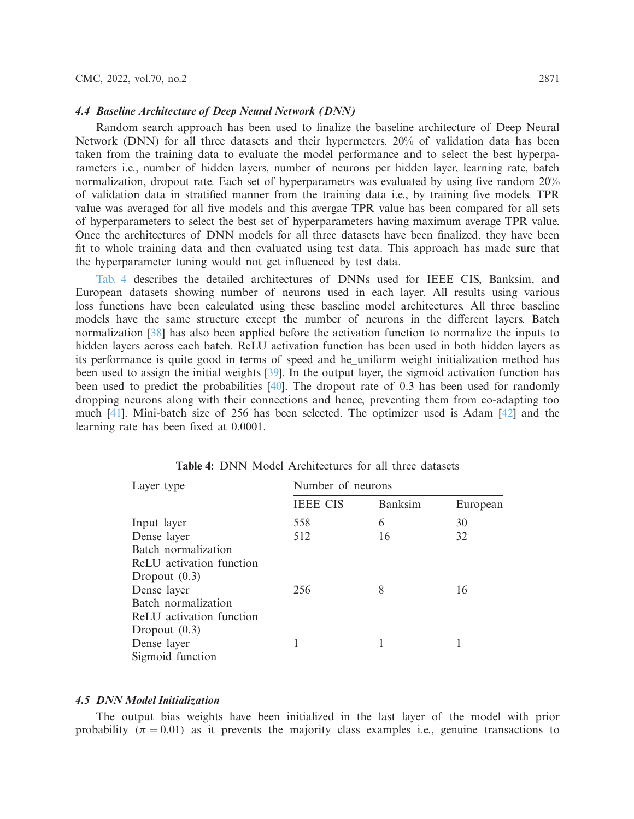### *4.4 Baseline Architecture of Deep Neural Network (DNN)*

Random search approach has been used to finalize the baseline architecture of Deep Neural Network (DNN) for all three datasets and their hypermeters. 20% of validation data has been taken from the training data to evaluate the model performance and to select the best hyperparameters i.e., number of hidden layers, number of neurons per hidden layer, learning rate, batch normalization, dropout rate. Each set of hyperparametrs was evaluated by using five random 20% of validation data in stratified manner from the training data i.e., by training five models. TPR value was averaged for all five models and this avergae TPR value has been compared for all sets of hyperparameters to select the best set of hyperparameters having maximum average TPR value. Once the architectures of DNN models for all three datasets have been finalized, they have been fit to whole training data and then evaluated using test data. This approach has made sure that the hyperparameter tuning would not get influenced by test data.

[Tab. 4](#page-10-0) describes the detailed architectures of DNNs used for IEEE CIS, Banksim, and European datasets showing number of neurons used in each layer. All results using various loss functions have been calculated using these baseline model architectures. All three baseline models have the same structure except the number of neurons in the different layers. Batch normalization [\[38\]](#page-16-14) has also been applied before the activation function to normalize the inputs to hidden layers across each batch. ReLU activation function has been used in both hidden layers as its performance is quite good in terms of speed and he\_uniform weight initialization method has been used to assign the initial weights [\[39\]](#page-16-15). In the output layer, the sigmoid activation function has been used to predict the probabilities [\[40](#page-16-16)]. The dropout rate of 0.3 has been used for randomly dropping neurons along with their connections and hence, preventing them from co-adapting too much [\[41\]](#page-16-17). Mini-batch size of 256 has been selected. The optimizer used is Adam [\[42\]](#page-16-18) and the learning rate has been fixed at 0.0001.

<span id="page-10-0"></span>

| Layer type               | Number of neurons |                |          |  |  |  |
|--------------------------|-------------------|----------------|----------|--|--|--|
|                          | <b>IEEE CIS</b>   | <b>Banksim</b> | European |  |  |  |
| Input layer              | 558               | 6              | 30       |  |  |  |
| Dense layer              | 512               | 16             | 32       |  |  |  |
| Batch normalization      |                   |                |          |  |  |  |
| ReLU activation function |                   |                |          |  |  |  |
| Dropout $(0.3)$          |                   |                |          |  |  |  |
| Dense layer              | 256               | 8              | 16       |  |  |  |
| Batch normalization      |                   |                |          |  |  |  |
| ReLU activation function |                   |                |          |  |  |  |
| Dropout $(0.3)$          |                   |                |          |  |  |  |
| Dense layer              |                   |                |          |  |  |  |
| Sigmoid function         |                   |                |          |  |  |  |

**Table 4:** DNN Model Architectures for all three datasets

# *4.5 DNN Model Initialization*

The output bias weights have been initialized in the last layer of the model with prior probability ( $\pi = 0.01$ ) as it prevents the majority class examples i.e., genuine transactions to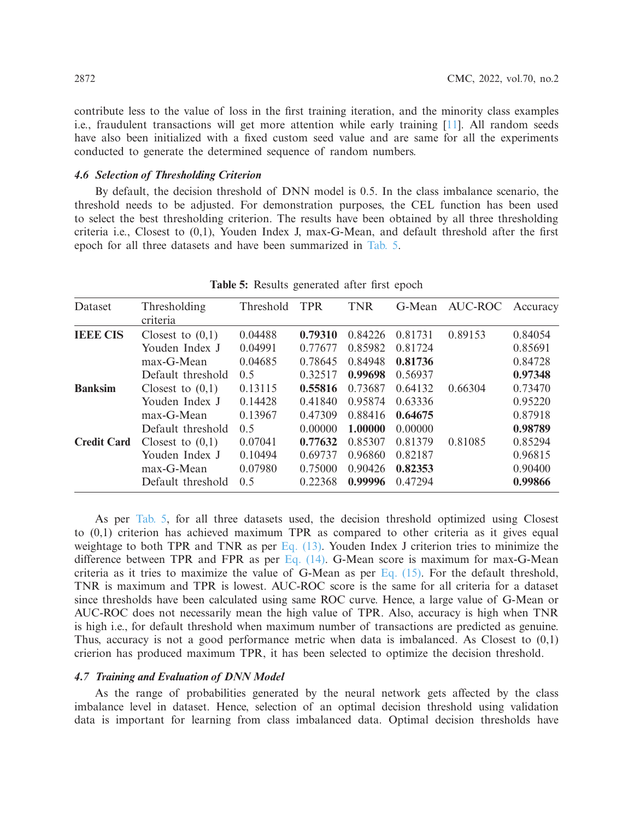contribute less to the value of loss in the first training iteration, and the minority class examples i.e., fraudulent transactions will get more attention while early training [\[11](#page-15-8)]. All random seeds have also been initialized with a fixed custom seed value and are same for all the experiments conducted to generate the determined sequence of random numbers.

# *4.6 Selection of Thresholding Criterion*

By default, the decision threshold of DNN model is 0.5. In the class imbalance scenario, the threshold needs to be adjusted. For demonstration purposes, the CEL function has been used to select the best thresholding criterion. The results have been obtained by all three thresholding criteria i.e., Closest to (0,1), Youden Index J, max-G-Mean, and default threshold after the first epoch for all three datasets and have been summarized in [Tab. 5.](#page-11-0)

<span id="page-11-0"></span>

| Dataset            | Thresholding<br>criteria | Threshold | <b>TPR</b> | <b>TNR</b> | G-Mean  | AUC-ROC | Accuracy |
|--------------------|--------------------------|-----------|------------|------------|---------|---------|----------|
| <b>IBBE CIS</b>    | Closest to $(0,1)$       | 0.04488   | 0.79310    | 0.84226    | 0.81731 | 0.89153 | 0.84054  |
|                    | Youden Index J           | 0.04991   | 0.77677    | 0.85982    | 0.81724 |         | 0.85691  |
|                    | $max-G-Mean$             | 0.04685   | 0.78645    | 0.84948    | 0.81736 |         | 0.84728  |
|                    | Default threshold        | 0.5       | 0.32517    | 0.99698    | 0.56937 |         | 0.97348  |
| <b>Banksim</b>     | Closest to $(0,1)$       | 0.13115   | 0.55816    | 0.73687    | 0.64132 | 0.66304 | 0.73470  |
|                    | Youden Index J           | 0.14428   | 0.41840    | 0.95874    | 0.63336 |         | 0.95220  |
|                    | $max-G-Mean$             | 0.13967   | 0.47309    | 0.88416    | 0.64675 |         | 0.87918  |
|                    | Default threshold        | 0.5       | 0.00000    | 1.00000    | 0.00000 |         | 0.98789  |
| <b>Credit Card</b> | Closest to $(0,1)$       | 0.07041   | 0.77632    | 0.85307    | 0.81379 | 0.81085 | 0.85294  |
|                    | Youden Index J           | 0.10494   | 0.69737    | 0.96860    | 0.82187 |         | 0.96815  |
|                    | max-G-Mean               | 0.07980   | 0.75000    | 0.90426    | 0.82353 |         | 0.90400  |
|                    | Default threshold        | 0.5       | 0.22368    | 0.99996    | 0.47294 |         | 0.99866  |

|  | Table 5: Results generated after first epoch |  |  |
|--|----------------------------------------------|--|--|

As per [Tab. 5,](#page-11-0) for all three datasets used, the decision threshold optimized using Closest to (0,1) criterion has achieved maximum TPR as compared to other criteria as it gives equal weightage to both TPR and TNR as per  $Eq. (13)$ . Youden Index J criterion tries to minimize the difference between TPR and FPR as per Eq.  $(14)$ . G-Mean score is maximum for max-G-Mean criteria as it tries to maximize the value of G-Mean as per [Eq. \(15\).](#page-6-2) For the default threshold, TNR is maximum and TPR is lowest. AUC-ROC score is the same for all criteria for a dataset since thresholds have been calculated using same ROC curve. Hence, a large value of G-Mean or AUC-ROC does not necessarily mean the high value of TPR. Also, accuracy is high when TNR is high i.e., for default threshold when maximum number of transactions are predicted as genuine. Thus, accuracy is not a good performance metric when data is imbalanced. As Closest to  $(0,1)$ crierion has produced maximum TPR, it has been selected to optimize the decision threshold.

### *4.7 Training and Evaluation of DNN Model*

As the range of probabilities generated by the neural network gets affected by the class imbalance level in dataset. Hence, selection of an optimal decision threshold using validation data is important for learning from class imbalanced data. Optimal decision thresholds have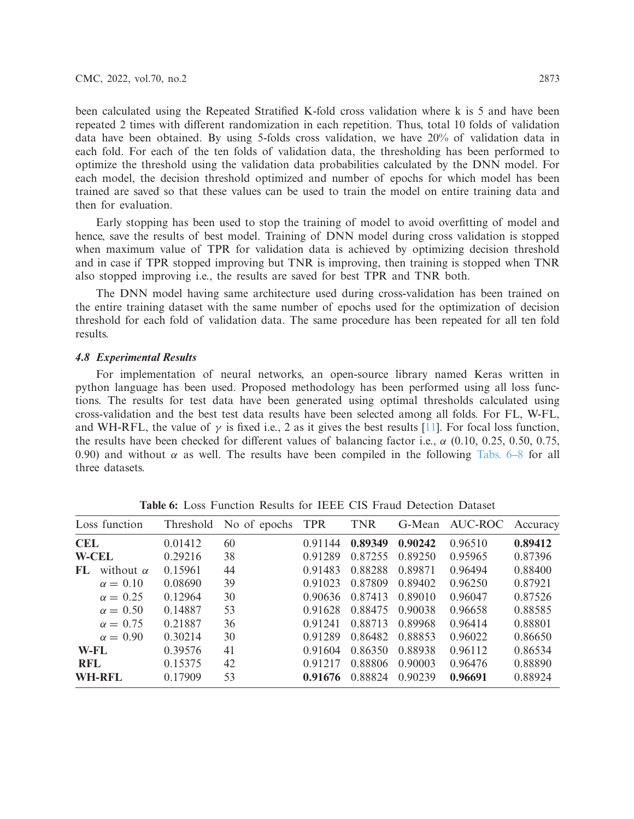been calculated using the Repeated Stratified K-fold cross validation where k is 5 and have been repeated 2 times with different randomization in each repetition. Thus, total 10 folds of validation data have been obtained. By using 5-folds cross validation, we have 20% of validation data in each fold. For each of the ten folds of validation data, the thresholding has been performed to optimize the threshold using the validation data probabilities calculated by the DNN model. For each model, the decision threshold optimized and number of epochs for which model has been trained are saved so that these values can be used to train the model on entire training data and then for evaluation.

Early stopping has been used to stop the training of model to avoid overfitting of model and hence, save the results of best model. Training of DNN model during cross validation is stopped when maximum value of TPR for validation data is achieved by optimizing decision threshold and in case if TPR stopped improving but TNR is improving, then training is stopped when TNR also stopped improving i.e., the results are saved for best TPR and TNR both.

The DNN model having same architecture used during cross-validation has been trained on the entire training dataset with the same number of epochs used for the optimization of decision threshold for each fold of validation data. The same procedure has been repeated for all ten fold results.

### *4.8 Experimental Results*

For implementation of neural networks, an open-source library named Keras written in python language has been used. Proposed methodology has been performed using all loss functions. The results for test data have been generated using optimal thresholds calculated using cross-validation and the best test data results have been selected among all folds. For FL, W-FL, and WH-RFL, the value of  $\gamma$  is fixed i.e., 2 as it gives the best results [\[11\]](#page-15-8). For focal loss function, the results have been checked for different values of balancing factor i.e.,  $\alpha$  (0.10, 0.25, 0.50, 0.75, 0.90) and without  $\alpha$  as well. The results have been compiled in the following [Tabs. 6–](#page-12-0)[8](#page-13-0) for all three datasets.

<span id="page-12-0"></span>

|              | Loss function    |         | Threshold No of epochs TPR |         | <b>TNR</b> |         | G-Mean AUC-ROC | Accuracy |
|--------------|------------------|---------|----------------------------|---------|------------|---------|----------------|----------|
| CEL.         |                  | 0.01412 | 60                         | 0.91144 | 0.89349    | 0.90242 | 0.96510        | 0.89412  |
| <b>W-CEL</b> |                  | 0.29216 | 38                         | 0.91289 | 0.87255    | 0.89250 | 0.95965        | 0.87396  |
| FL           | without $\alpha$ | 0.15961 | 44                         | 0.91483 | 0.88288    | 0.89871 | 0.96494        | 0.88400  |
|              | $\alpha = 0.10$  | 0.08690 | 39                         | 0.91023 | 0.87809    | 0.89402 | 0.96250        | 0.87921  |
|              | $\alpha = 0.25$  | 0.12964 | 30                         | 0.90636 | 0.87413    | 0.89010 | 0.96047        | 0.87526  |
|              | $\alpha = 0.50$  | 0.14887 | 53                         | 0.91628 | 0.88475    | 0.90038 | 0.96658        | 0.88585  |
|              | $\alpha = 0.75$  | 0.21887 | 36                         | 0.91241 | 0.88713    | 0.89968 | 0.96414        | 0.88801  |
|              | $\alpha = 0.90$  | 0.30214 | 30                         | 0.91289 | 0.86482    | 0.88853 | 0.96022        | 0.86650  |
| W-FL         |                  | 0.39576 | 41                         | 0.91604 | 0.86350    | 0.88938 | 0.96112        | 0.86534  |
| <b>RFL</b>   |                  | 0.15375 | 42                         | 0.91217 | 0.88806    | 0.90003 | 0.96476        | 0.88890  |
| WH-RFL       |                  | 0.17909 | 53                         | 0.91676 | 0.88824    | 0.90239 | 0.96691        | 0.88924  |

**Table 6:** Loss Function Results for IEEE CIS Fraud Detection Dataset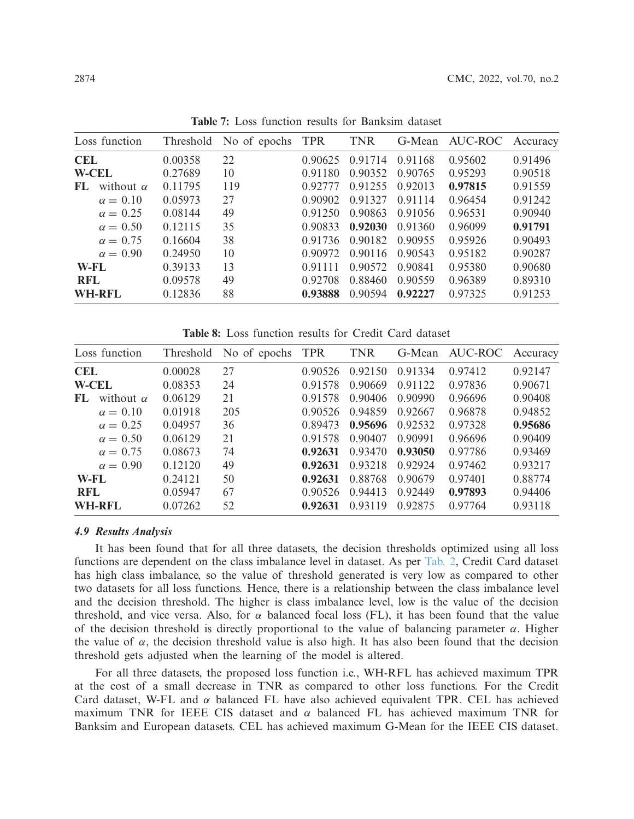|            | Loss function    |         | Threshold No of epochs TPR |         | <b>TNR</b> | G-Mean  | AUC-ROC | Accuracy |
|------------|------------------|---------|----------------------------|---------|------------|---------|---------|----------|
| <b>CEL</b> |                  | 0.00358 | 22                         | 0.90625 | 0.91714    | 0.91168 | 0.95602 | 0.91496  |
|            | <b>W-CEL</b>     | 0.27689 | 10                         | 0.91180 | 0.90352    | 0.90765 | 0.95293 | 0.90518  |
| FL         | without $\alpha$ | 0.11795 | 119                        | 0.92777 | 0.91255    | 0.92013 | 0.97815 | 0.91559  |
|            | $\alpha = 0.10$  | 0.05973 | 27                         | 0.90902 | 0.91327    | 0.91114 | 0.96454 | 0.91242  |
|            | $\alpha = 0.25$  | 0.08144 | 49                         | 0.91250 | 0.90863    | 0.91056 | 0.96531 | 0.90940  |
|            | $\alpha = 0.50$  | 0.12115 | 35                         | 0.90833 | 0.92030    | 0.91360 | 0.96099 | 0.91791  |
|            | $\alpha = 0.75$  | 0.16604 | 38                         | 0.91736 | 0.90182    | 0.90955 | 0.95926 | 0.90493  |
|            | $\alpha = 0.90$  | 0.24950 | 10                         | 0.90972 | 0.90116    | 0.90543 | 0.95182 | 0.90287  |
| W-FL       |                  | 0.39133 | 13                         | 0.91111 | 0.90572    | 0.90841 | 0.95380 | 0.90680  |
| <b>RFL</b> |                  | 0.09578 | 49                         | 0.92708 | 0.88460    | 0.90559 | 0.96389 | 0.89310  |
|            | <b>WH-RFL</b>    | 0.12836 | 88                         | 0.93888 | 0.90594    | 0.92227 | 0.97325 | 0.91253  |

**Table 7:** Loss function results for Banksim dataset

**Table 8:** Loss function results for Credit Card dataset

<span id="page-13-0"></span>

|               | Loss function    |         | Threshold No of epochs | <b>TPR</b> | <b>TNR</b> | G-Mean  | AUC-ROC | Accuracy |
|---------------|------------------|---------|------------------------|------------|------------|---------|---------|----------|
| <b>CEL</b>    |                  | 0.00028 | 27                     | 0.90526    | 0.92150    | 0.91334 | 0.97412 | 0.92147  |
| <b>W-CEL</b>  |                  | 0.08353 | 24                     | 0.91578    | 0.90669    | 0.91122 | 0.97836 | 0.90671  |
| FL            | without $\alpha$ | 0.06129 | 21                     | 0.91578    | 0.90406    | 0.90990 | 0.96696 | 0.90408  |
|               | $\alpha = 0.10$  | 0.01918 | 205                    | 0.90526    | 0.94859    | 0.92667 | 0.96878 | 0.94852  |
|               | $\alpha = 0.25$  | 0.04957 | 36                     | 0.89473    | 0.95696    | 0.92532 | 0.97328 | 0.95686  |
|               | $\alpha = 0.50$  | 0.06129 | 21                     | 0.91578    | 0.90407    | 0.90991 | 0.96696 | 0.90409  |
|               | $\alpha = 0.75$  | 0.08673 | 74                     | 0.92631    | 0.93470    | 0.93050 | 0.97786 | 0.93469  |
|               | $\alpha = 0.90$  | 0.12120 | 49                     | 0.92631    | 0.93218    | 0.92924 | 0.97462 | 0.93217  |
| W-FL          |                  | 0.24121 | 50                     | 0.92631    | 0.88768    | 0.90679 | 0.97401 | 0.88774  |
| <b>RFL</b>    |                  | 0.05947 | 67                     | 0.90526    | 0.94413    | 0.92449 | 0.97893 | 0.94406  |
| <b>WH-RFL</b> |                  | 0.07262 | 52                     | 0.92631    | 0.93119    | 0.92875 | 0.97764 | 0.93118  |

# *4.9 Results Analysis*

It has been found that for all three datasets, the decision thresholds optimized using all loss functions are dependent on the class imbalance level in dataset. As per [Tab. 2,](#page-8-1) Credit Card dataset has high class imbalance, so the value of threshold generated is very low as compared to other two datasets for all loss functions. Hence, there is a relationship between the class imbalance level and the decision threshold. The higher is class imbalance level, low is the value of the decision threshold, and vice versa. Also, for  $\alpha$  balanced focal loss (FL), it has been found that the value of the decision threshold is directly proportional to the value of balancing parameter  $\alpha$ . Higher the value of  $\alpha$ , the decision threshold value is also high. It has also been found that the decision threshold gets adjusted when the learning of the model is altered.

For all three datasets, the proposed loss function i.e., WH-RFL has achieved maximum TPR at the cost of a small decrease in TNR as compared to other loss functions. For the Credit Card dataset, W-FL and  $\alpha$  balanced FL have also achieved equivalent TPR. CEL has achieved maximum TNR for IEEE CIS dataset and  $\alpha$  balanced FL has achieved maximum TNR for Banksim and European datasets. CEL has achieved maximum G-Mean for the IEEE CIS dataset.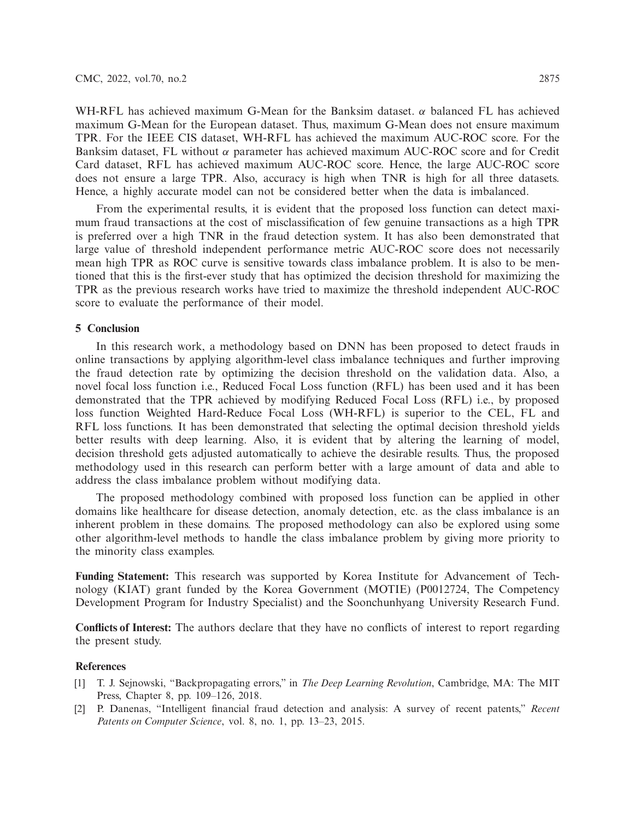WH-RFL has achieved maximum G-Mean for the Banksim dataset.  $\alpha$  balanced FL has achieved maximum G-Mean for the European dataset. Thus, maximum G-Mean does not ensure maximum TPR. For the IEEE CIS dataset, WH-RFL has achieved the maximum AUC-ROC score. For the Banksim dataset, FL without  $\alpha$  parameter has achieved maximum AUC-ROC score and for Credit Card dataset, RFL has achieved maximum AUC-ROC score. Hence, the large AUC-ROC score does not ensure a large TPR. Also, accuracy is high when TNR is high for all three datasets. Hence, a highly accurate model can not be considered better when the data is imbalanced.

From the experimental results, it is evident that the proposed loss function can detect maximum fraud transactions at the cost of misclassification of few genuine transactions as a high TPR is preferred over a high TNR in the fraud detection system. It has also been demonstrated that large value of threshold independent performance metric AUC-ROC score does not necessarily mean high TPR as ROC curve is sensitive towards class imbalance problem. It is also to be mentioned that this is the first-ever study that has optimized the decision threshold for maximizing the TPR as the previous research works have tried to maximize the threshold independent AUC-ROC score to evaluate the performance of their model.

### **5 Conclusion**

In this research work, a methodology based on DNN has been proposed to detect frauds in online transactions by applying algorithm-level class imbalance techniques and further improving the fraud detection rate by optimizing the decision threshold on the validation data. Also, a novel focal loss function i.e., Reduced Focal Loss function (RFL) has been used and it has been demonstrated that the TPR achieved by modifying Reduced Focal Loss (RFL) i.e., by proposed loss function Weighted Hard-Reduce Focal Loss (WH-RFL) is superior to the CEL, FL and RFL loss functions. It has been demonstrated that selecting the optimal decision threshold yields better results with deep learning. Also, it is evident that by altering the learning of model, decision threshold gets adjusted automatically to achieve the desirable results. Thus, the proposed methodology used in this research can perform better with a large amount of data and able to address the class imbalance problem without modifying data.

The proposed methodology combined with proposed loss function can be applied in other domains like healthcare for disease detection, anomaly detection, etc. as the class imbalance is an inherent problem in these domains. The proposed methodology can also be explored using some other algorithm-level methods to handle the class imbalance problem by giving more priority to the minority class examples.

**Funding Statement:** This research was supported by Korea Institute for Advancement of Technology (KIAT) grant funded by the Korea Government (MOTIE) (P0012724, The Competency Development Program for Industry Specialist) and the Soonchunhyang University Research Fund.

**Conflicts of Interest:** The authors declare that they have no conflicts of interest to report regarding the present study.

### **References**

- <span id="page-14-0"></span>[1] T. J. Sejnowski, "Backpropagating errors," in *The Deep Learning Revolution*, Cambridge, MA: The MIT Press, Chapter 8, pp. 109–126, 2018.
- <span id="page-14-1"></span>[2] P. Danenas, "Intelligent financial fraud detection and analysis: A survey of recent patents," *Recent Patents on Computer Science*, vol. 8, no. 1, pp. 13–23, 2015.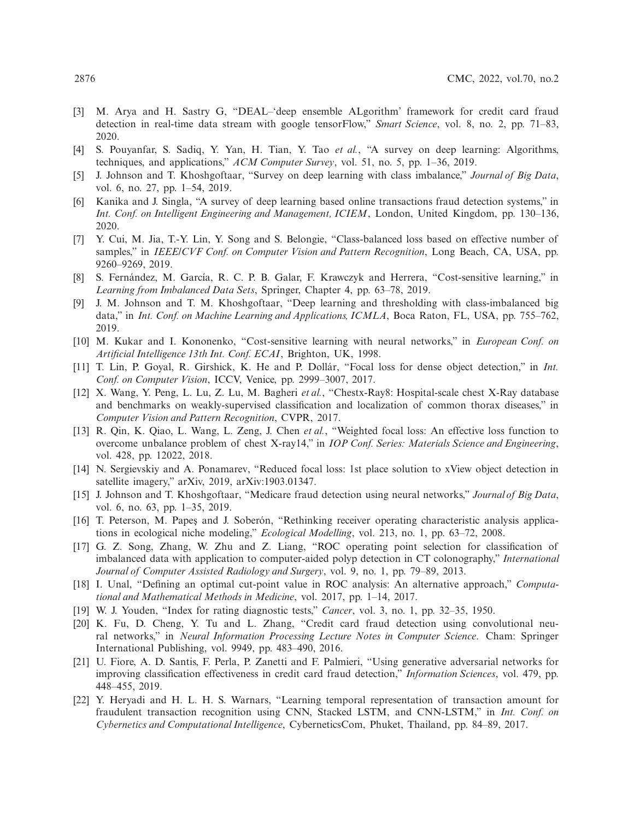- <span id="page-15-0"></span>[3] M. Arya and H. Sastry G, "DEAL–'deep ensemble ALgorithm' framework for credit card fraud detection in real-time data stream with google tensorFlow," *Smart Science*, vol. 8, no. 2, pp. 71–83, 2020.
- <span id="page-15-1"></span>[4] S. Pouyanfar, S. Sadiq, Y. Yan, H. Tian, Y. Tao *et al.*, "A survey on deep learning: Algorithms, techniques, and applications," *ACM Computer Survey*, vol. 51, no. 5, pp. 1–36, 2019.
- <span id="page-15-2"></span>[5] J. Johnson and T. Khoshgoftaar, "Survey on deep learning with class imbalance," *Journal of Big Data*, vol. 6, no. 27, pp. 1–54, 2019.
- <span id="page-15-3"></span>[6] Kanika and J. Singla, "A survey of deep learning based online transactions fraud detection systems," in *Int. Conf. on Intelligent Engineering and Management, ICIEM*, London, United Kingdom, pp. 130–136, 2020.
- <span id="page-15-4"></span>[7] Y. Cui, M. Jia, T.-Y. Lin, Y. Song and S. Belongie, "Class-balanced loss based on effective number of samples," in *IEEE/CVF Conf. on Computer Vision and Pattern Recognition*, Long Beach, CA, USA, pp. 9260–9269, 2019.
- <span id="page-15-5"></span>[8] S. Fernández, M. García, R. C. P. B. Galar, F. Krawczyk and Herrera, "Cost-sensitive learning," in *Learning from Imbalanced Data Sets*, Springer, Chapter 4, pp. 63–78, 2019.
- <span id="page-15-6"></span>[9] J. M. Johnson and T. M. Khoshgoftaar, "Deep learning and thresholding with class-imbalanced big data," in *Int. Conf. on Machine Learning and Applications, ICMLA*, Boca Raton, FL, USA, pp. 755–762, 2019.
- <span id="page-15-7"></span>[10] M. Kukar and I. Kononenko, "Cost-sensitive learning with neural networks," in *European Conf. on Artificial Intelligence 13th Int. Conf. ECAI*, Brighton, UK, 1998.
- <span id="page-15-8"></span>[11] T. Lin, P. Goyal, R. Girshick, K. He and P. Dollár, "Focal loss for dense object detection," in *Int. Conf. on Computer Vision*, ICCV, Venice, pp. 2999–3007, 2017.
- <span id="page-15-9"></span>[12] X. Wang, Y. Peng, L. Lu, Z. Lu, M. Bagheri *et al.*, "Chestx-Ray8: Hospital-scale chest X-Ray database and benchmarks on weakly-supervised classification and localization of common thorax diseases," in *Computer Vision and Pattern Recognition*, CVPR, 2017.
- <span id="page-15-10"></span>[13] R. Qin, K. Qiao, L. Wang, L. Zeng, J. Chen *et al.*, "Weighted focal loss: An effective loss function to overcome unbalance problem of chest X-ray14," in *IOP Conf. Series: Materials Science and Engineering*, vol. 428, pp. 12022, 2018.
- <span id="page-15-11"></span>[14] N. Sergievskiy and A. Ponamarev, "Reduced focal loss: 1st place solution to xView object detection in satellite imagery," arXiv, 2019, arXiv:1903.01347.
- <span id="page-15-12"></span>[15] J. Johnson and T. Khoshgoftaar, "Medicare fraud detection using neural networks," *Journal of Big Data*, vol. 6, no. 63, pp. 1–35, 2019.
- <span id="page-15-13"></span>[16] T. Peterson, M. Papes and J. Soberón, "Rethinking receiver operating characteristic analysis applications in ecological niche modeling," *Ecological Modelling*, vol. 213, no. 1, pp. 63–72, 2008.
- <span id="page-15-14"></span>[17] G. Z. Song, Zhang, W. Zhu and Z. Liang, "ROC operating point selection for classification of imbalanced data with application to computer-aided polyp detection in CT colonography," *International Journal of Computer Assisted Radiology and Surgery*, vol. 9, no. 1, pp. 79–89, 2013.
- <span id="page-15-15"></span>[18] I. Unal, "Defining an optimal cut-point value in ROC analysis: An alternative approach," *Computational and Mathematical Methods in Medicine*, vol. 2017, pp. 1–14, 2017.
- <span id="page-15-16"></span>[19] W. J. Youden, "Index for rating diagnostic tests," *Cancer*, vol. 3, no. 1, pp. 32–35, 1950.
- <span id="page-15-17"></span>[20] K. Fu, D. Cheng, Y. Tu and L. Zhang, "Credit card fraud detection using convolutional neural networks," in *Neural Information Processing Lecture Notes in Computer Science*. Cham: Springer International Publishing, vol. 9949, pp. 483–490, 2016.
- <span id="page-15-18"></span>[21] U. Fiore, A. D. Santis, F. Perla, P. Zanetti and F. Palmieri, "Using generative adversarial networks for improving classification effectiveness in credit card fraud detection," *Information Sciences*, vol. 479, pp. 448–455, 2019.
- <span id="page-15-19"></span>[22] Y. Heryadi and H. L. H. S. Warnars, "Learning temporal representation of transaction amount for fraudulent transaction recognition using CNN, Stacked LSTM, and CNN-LSTM," in *Int. Conf. on Cybernetics and Computational Intelligence*, CyberneticsCom, Phuket, Thailand, pp. 84–89, 2017.